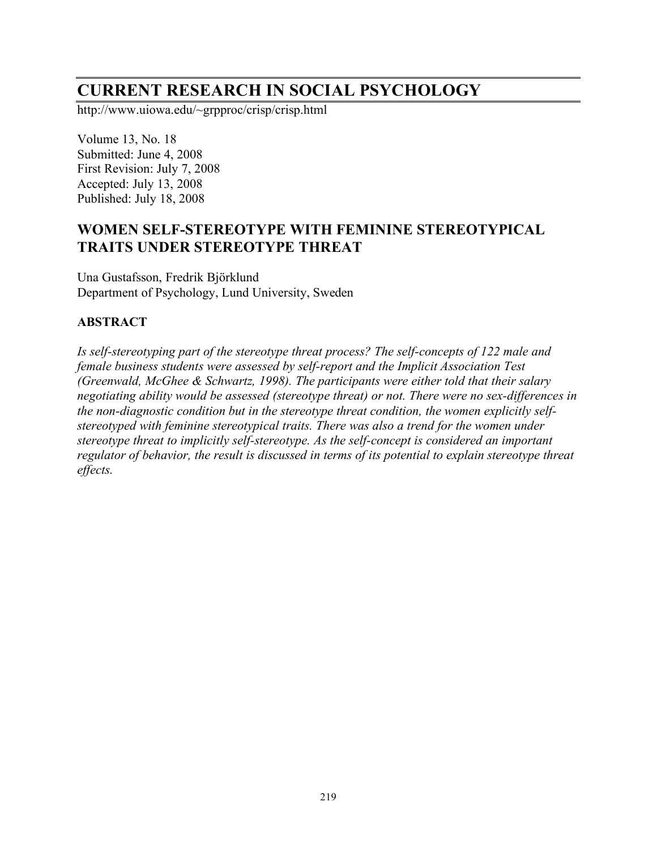# **CURRENT RESEARCH IN SOCIAL PSYCHOLOGY**

http://www.uiowa.edu/~grpproc/crisp/crisp.html

Volume 13, No. 18 Submitted: June 4, 2008 First Revision: July 7, 2008 Accepted: July 13, 2008 Published: July 18, 2008

# **WOMEN SELF-STEREOTYPE WITH FEMININE STEREOTYPICAL TRAITS UNDER STEREOTYPE THREAT**

Una Gustafsson, Fredrik Björklund Department of Psychology, Lund University, Sweden

### **ABSTRACT**

*Is self-stereotyping part of the stereotype threat process? The self-concepts of 122 male and female business students were assessed by self-report and the Implicit Association Test (Greenwald, McGhee & Schwartz, 1998). The participants were either told that their salary negotiating ability would be assessed (stereotype threat) or not. There were no sex-differences in the non-diagnostic condition but in the stereotype threat condition, the women explicitly selfstereotyped with feminine stereotypical traits. There was also a trend for the women under stereotype threat to implicitly self-stereotype. As the self-concept is considered an important regulator of behavior, the result is discussed in terms of its potential to explain stereotype threat effects.*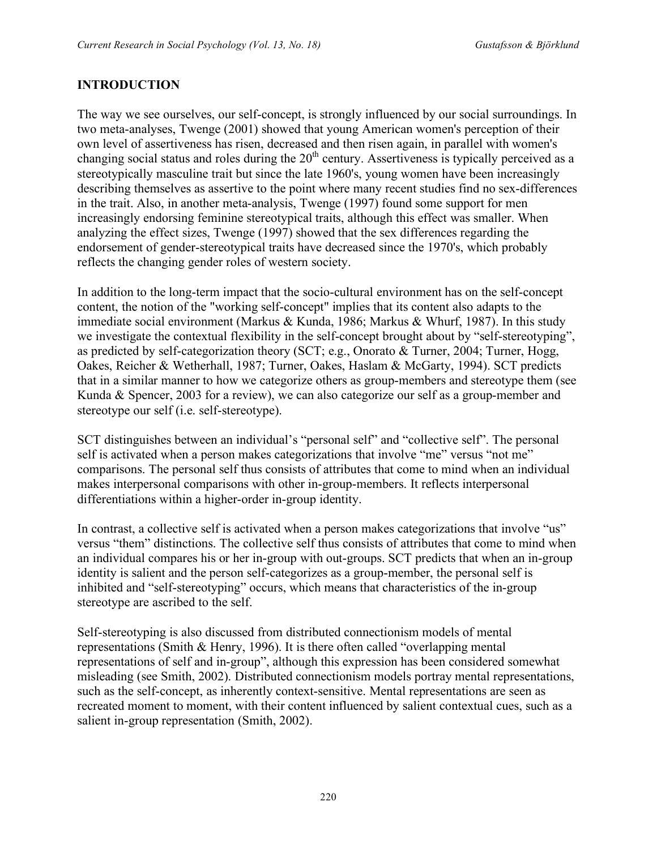# **INTRODUCTION**

The way we see ourselves, our self-concept, is strongly influenced by our social surroundings. In two meta-analyses, Twenge (2001) showed that young American women's perception of their own level of assertiveness has risen, decreased and then risen again, in parallel with women's changing social status and roles during the  $20<sup>th</sup>$  century. Assertiveness is typically perceived as a stereotypically masculine trait but since the late 1960's, young women have been increasingly describing themselves as assertive to the point where many recent studies find no sex-differences in the trait. Also, in another meta-analysis, Twenge (1997) found some support for men increasingly endorsing feminine stereotypical traits, although this effect was smaller. When analyzing the effect sizes, Twenge (1997) showed that the sex differences regarding the endorsement of gender-stereotypical traits have decreased since the 1970's, which probably reflects the changing gender roles of western society.

In addition to the long-term impact that the socio-cultural environment has on the self-concept content, the notion of the "working self-concept" implies that its content also adapts to the immediate social environment (Markus & Kunda, 1986; Markus & Whurf, 1987). In this study we investigate the contextual flexibility in the self-concept brought about by "self-stereotyping", as predicted by self-categorization theory (SCT; e.g., Onorato & Turner, 2004; Turner, Hogg, Oakes, Reicher & Wetherhall, 1987; Turner, Oakes, Haslam & McGarty, 1994). SCT predicts that in a similar manner to how we categorize others as group-members and stereotype them (see Kunda & Spencer, 2003 for a review), we can also categorize our self as a group-member and stereotype our self (i.e. self-stereotype).

SCT distinguishes between an individual's "personal self" and "collective self". The personal self is activated when a person makes categorizations that involve "me" versus "not me" comparisons. The personal self thus consists of attributes that come to mind when an individual makes interpersonal comparisons with other in-group-members. It reflects interpersonal differentiations within a higher-order in-group identity.

In contrast, a collective self is activated when a person makes categorizations that involve "us" versus "them" distinctions. The collective self thus consists of attributes that come to mind when an individual compares his or her in-group with out-groups. SCT predicts that when an in-group identity is salient and the person self-categorizes as a group-member, the personal self is inhibited and "self-stereotyping" occurs, which means that characteristics of the in-group stereotype are ascribed to the self.

Self-stereotyping is also discussed from distributed connectionism models of mental representations (Smith & Henry, 1996). It is there often called "overlapping mental representations of self and in-group", although this expression has been considered somewhat misleading (see Smith, 2002). Distributed connectionism models portray mental representations, such as the self-concept, as inherently context-sensitive. Mental representations are seen as recreated moment to moment, with their content influenced by salient contextual cues, such as a salient in-group representation (Smith, 2002).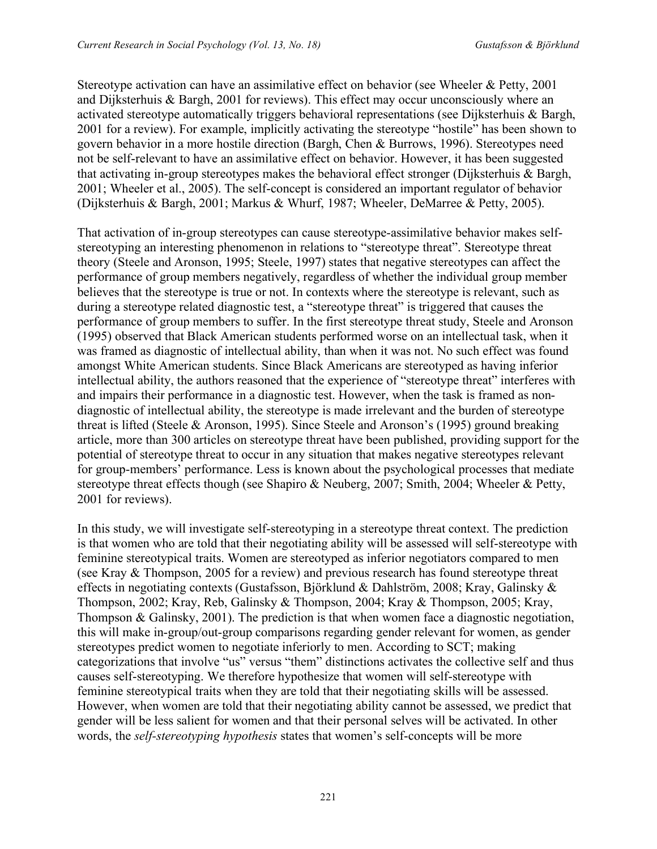Stereotype activation can have an assimilative effect on behavior (see Wheeler & Petty, 2001 and Dijksterhuis & Bargh, 2001 for reviews). This effect may occur unconsciously where an activated stereotype automatically triggers behavioral representations (see Dijksterhuis & Bargh, 2001 for a review). For example, implicitly activating the stereotype "hostile" has been shown to govern behavior in a more hostile direction (Bargh, Chen & Burrows, 1996). Stereotypes need not be self-relevant to have an assimilative effect on behavior. However, it has been suggested that activating in-group stereotypes makes the behavioral effect stronger (Dijksterhuis & Bargh, 2001; Wheeler et al., 2005). The self-concept is considered an important regulator of behavior (Dijksterhuis & Bargh, 2001; Markus & Whurf, 1987; Wheeler, DeMarree & Petty, 2005).

That activation of in-group stereotypes can cause stereotype-assimilative behavior makes selfstereotyping an interesting phenomenon in relations to "stereotype threat". Stereotype threat theory (Steele and Aronson, 1995; Steele, 1997) states that negative stereotypes can affect the performance of group members negatively, regardless of whether the individual group member believes that the stereotype is true or not. In contexts where the stereotype is relevant, such as during a stereotype related diagnostic test, a "stereotype threat" is triggered that causes the performance of group members to suffer. In the first stereotype threat study, Steele and Aronson (1995) observed that Black American students performed worse on an intellectual task, when it was framed as diagnostic of intellectual ability, than when it was not. No such effect was found amongst White American students. Since Black Americans are stereotyped as having inferior intellectual ability, the authors reasoned that the experience of "stereotype threat" interferes with and impairs their performance in a diagnostic test. However, when the task is framed as nondiagnostic of intellectual ability, the stereotype is made irrelevant and the burden of stereotype threat is lifted (Steele & Aronson, 1995). Since Steele and Aronson's (1995) ground breaking article, more than 300 articles on stereotype threat have been published, providing support for the potential of stereotype threat to occur in any situation that makes negative stereotypes relevant for group-members' performance. Less is known about the psychological processes that mediate stereotype threat effects though (see Shapiro & Neuberg, 2007; Smith, 2004; Wheeler & Petty, 2001 for reviews).

In this study, we will investigate self-stereotyping in a stereotype threat context. The prediction is that women who are told that their negotiating ability will be assessed will self-stereotype with feminine stereotypical traits. Women are stereotyped as inferior negotiators compared to men (see Kray & Thompson, 2005 for a review) and previous research has found stereotype threat effects in negotiating contexts (Gustafsson, Björklund & Dahlström, 2008; Kray, Galinsky & Thompson, 2002; Kray, Reb, Galinsky & Thompson, 2004; Kray & Thompson, 2005; Kray, Thompson & Galinsky, 2001). The prediction is that when women face a diagnostic negotiation, this will make in-group/out-group comparisons regarding gender relevant for women, as gender stereotypes predict women to negotiate inferiorly to men. According to SCT; making categorizations that involve "us" versus "them" distinctions activates the collective self and thus causes self-stereotyping. We therefore hypothesize that women will self-stereotype with feminine stereotypical traits when they are told that their negotiating skills will be assessed. However, when women are told that their negotiating ability cannot be assessed, we predict that gender will be less salient for women and that their personal selves will be activated. In other words, the *self-stereotyping hypothesis* states that women's self-concepts will be more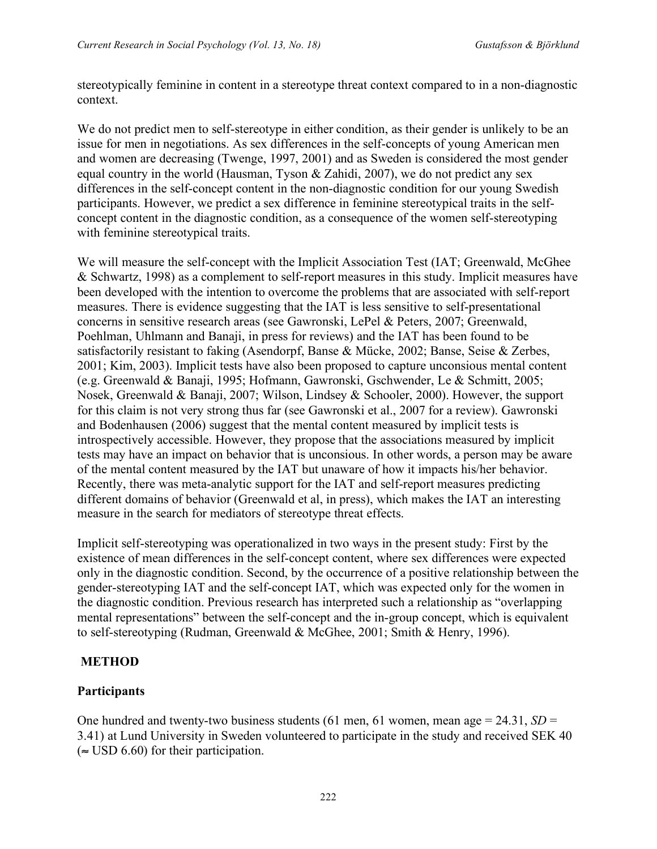stereotypically feminine in content in a stereotype threat context compared to in a non-diagnostic context.

We do not predict men to self-stereotype in either condition, as their gender is unlikely to be an issue for men in negotiations. As sex differences in the self-concepts of young American men and women are decreasing (Twenge, 1997, 2001) and as Sweden is considered the most gender equal country in the world (Hausman, Tyson & Zahidi, 2007), we do not predict any sex differences in the self-concept content in the non-diagnostic condition for our young Swedish participants. However, we predict a sex difference in feminine stereotypical traits in the selfconcept content in the diagnostic condition, as a consequence of the women self-stereotyping with feminine stereotypical traits.

We will measure the self-concept with the Implicit Association Test (IAT; Greenwald, McGhee & Schwartz, 1998) as a complement to self-report measures in this study. Implicit measures have been developed with the intention to overcome the problems that are associated with self-report measures. There is evidence suggesting that the IAT is less sensitive to self-presentational concerns in sensitive research areas (see Gawronski, LePel & Peters, 2007; Greenwald, Poehlman, Uhlmann and Banaji, in press for reviews) and the IAT has been found to be satisfactorily resistant to faking (Asendorpf, Banse & Mücke, 2002; Banse, Seise & Zerbes, 2001; Kim, 2003). Implicit tests have also been proposed to capture unconsious mental content (e.g. Greenwald & Banaji, 1995; Hofmann, Gawronski, Gschwender, Le & Schmitt, 2005; Nosek, Greenwald & Banaji, 2007; Wilson, Lindsey & Schooler, 2000). However, the support for this claim is not very strong thus far (see Gawronski et al., 2007 for a review). Gawronski and Bodenhausen (2006) suggest that the mental content measured by implicit tests is introspectively accessible. However, they propose that the associations measured by implicit tests may have an impact on behavior that is unconsious. In other words, a person may be aware of the mental content measured by the IAT but unaware of how it impacts his/her behavior. Recently, there was meta-analytic support for the IAT and self-report measures predicting different domains of behavior (Greenwald et al, in press), which makes the IAT an interesting measure in the search for mediators of stereotype threat effects.

Implicit self-stereotyping was operationalized in two ways in the present study: First by the existence of mean differences in the self-concept content, where sex differences were expected only in the diagnostic condition. Second, by the occurrence of a positive relationship between the gender-stereotyping IAT and the self-concept IAT, which was expected only for the women in the diagnostic condition. Previous research has interpreted such a relationship as "overlapping mental representations" between the self-concept and the in-group concept, which is equivalent to self-stereotyping (Rudman, Greenwald & McGhee, 2001; Smith & Henry, 1996).

### **METHOD**

# **Participants**

One hundred and twenty-two business students (61 men, 61 women, mean age  $= 24.31$ ,  $SD =$ 3.41) at Lund University in Sweden volunteered to participate in the study and received SEK 40  $(\approx$  USD 6.60) for their participation.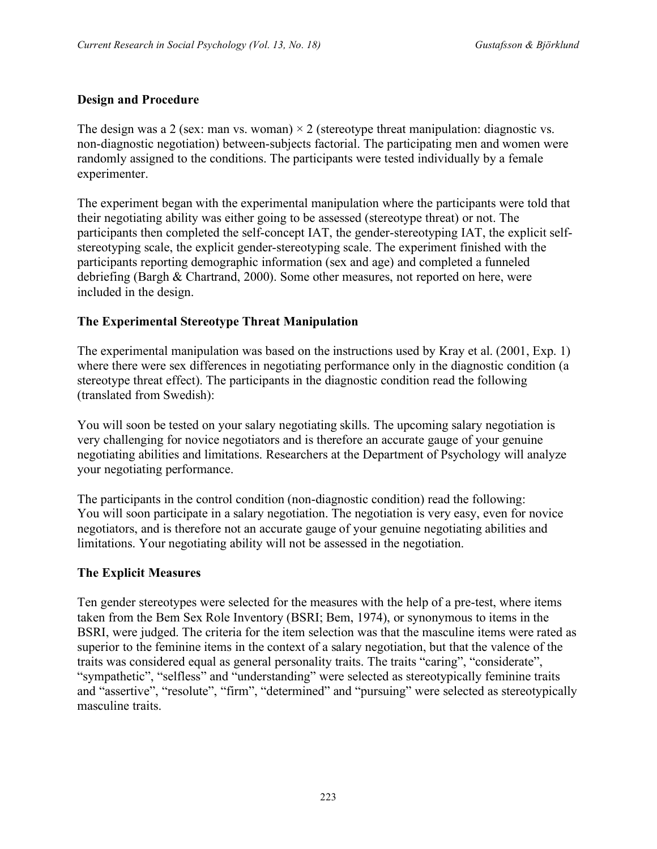### **Design and Procedure**

The design was a 2 (sex: man vs. woman)  $\times$  2 (stereotype threat manipulation: diagnostic vs. non-diagnostic negotiation) between-subjects factorial. The participating men and women were randomly assigned to the conditions. The participants were tested individually by a female experimenter.

The experiment began with the experimental manipulation where the participants were told that their negotiating ability was either going to be assessed (stereotype threat) or not. The participants then completed the self-concept IAT, the gender-stereotyping IAT, the explicit selfstereotyping scale, the explicit gender-stereotyping scale. The experiment finished with the participants reporting demographic information (sex and age) and completed a funneled debriefing (Bargh & Chartrand, 2000). Some other measures, not reported on here, were included in the design.

# **The Experimental Stereotype Threat Manipulation**

The experimental manipulation was based on the instructions used by Kray et al. (2001, Exp. 1) where there were sex differences in negotiating performance only in the diagnostic condition (a stereotype threat effect). The participants in the diagnostic condition read the following (translated from Swedish):

You will soon be tested on your salary negotiating skills. The upcoming salary negotiation is very challenging for novice negotiators and is therefore an accurate gauge of your genuine negotiating abilities and limitations. Researchers at the Department of Psychology will analyze your negotiating performance.

The participants in the control condition (non-diagnostic condition) read the following: You will soon participate in a salary negotiation. The negotiation is very easy, even for novice negotiators, and is therefore not an accurate gauge of your genuine negotiating abilities and limitations. Your negotiating ability will not be assessed in the negotiation.

### **The Explicit Measures**

Ten gender stereotypes were selected for the measures with the help of a pre-test, where items taken from the Bem Sex Role Inventory (BSRI; Bem, 1974), or synonymous to items in the BSRI, were judged. The criteria for the item selection was that the masculine items were rated as superior to the feminine items in the context of a salary negotiation, but that the valence of the traits was considered equal as general personality traits. The traits "caring", "considerate", "sympathetic", "selfless" and "understanding" were selected as stereotypically feminine traits and "assertive", "resolute", "firm", "determined" and "pursuing" were selected as stereotypically masculine traits.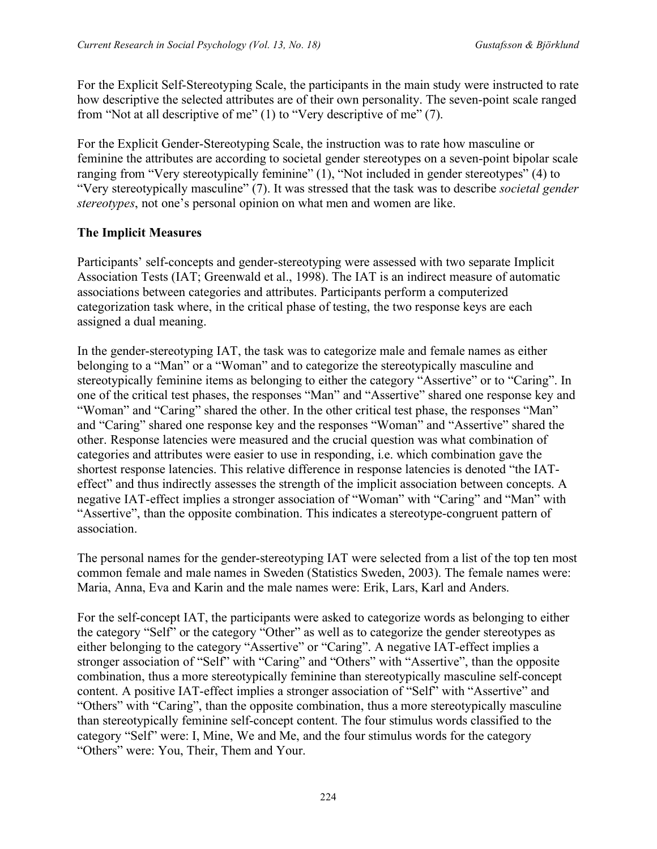For the Explicit Self-Stereotyping Scale, the participants in the main study were instructed to rate how descriptive the selected attributes are of their own personality. The seven-point scale ranged from "Not at all descriptive of me" (1) to "Very descriptive of me" (7).

For the Explicit Gender-Stereotyping Scale, the instruction was to rate how masculine or feminine the attributes are according to societal gender stereotypes on a seven-point bipolar scale ranging from "Very stereotypically feminine" (1), "Not included in gender stereotypes" (4) to "Very stereotypically masculine" (7). It was stressed that the task was to describe *societal gender stereotypes*, not one's personal opinion on what men and women are like.

# **The Implicit Measures**

Participants' self-concepts and gender-stereotyping were assessed with two separate Implicit Association Tests (IAT; Greenwald et al., 1998). The IAT is an indirect measure of automatic associations between categories and attributes. Participants perform a computerized categorization task where, in the critical phase of testing, the two response keys are each assigned a dual meaning.

In the gender-stereotyping IAT, the task was to categorize male and female names as either belonging to a "Man" or a "Woman" and to categorize the stereotypically masculine and stereotypically feminine items as belonging to either the category "Assertive" or to "Caring". In one of the critical test phases, the responses "Man" and "Assertive" shared one response key and "Woman" and "Caring" shared the other. In the other critical test phase, the responses "Man" and "Caring" shared one response key and the responses "Woman" and "Assertive" shared the other. Response latencies were measured and the crucial question was what combination of categories and attributes were easier to use in responding, i.e. which combination gave the shortest response latencies. This relative difference in response latencies is denoted "the IATeffect" and thus indirectly assesses the strength of the implicit association between concepts. A negative IAT-effect implies a stronger association of "Woman" with "Caring" and "Man" with "Assertive", than the opposite combination. This indicates a stereotype-congruent pattern of association.

The personal names for the gender-stereotyping IAT were selected from a list of the top ten most common female and male names in Sweden (Statistics Sweden, 2003). The female names were: Maria, Anna, Eva and Karin and the male names were: Erik, Lars, Karl and Anders.

For the self-concept IAT, the participants were asked to categorize words as belonging to either the category "Self" or the category "Other" as well as to categorize the gender stereotypes as either belonging to the category "Assertive" or "Caring". A negative IAT-effect implies a stronger association of "Self" with "Caring" and "Others" with "Assertive", than the opposite combination, thus a more stereotypically feminine than stereotypically masculine self-concept content. A positive IAT-effect implies a stronger association of "Self" with "Assertive" and "Others" with "Caring", than the opposite combination, thus a more stereotypically masculine than stereotypically feminine self-concept content. The four stimulus words classified to the category "Self" were: I, Mine, We and Me, and the four stimulus words for the category "Others" were: You, Their, Them and Your.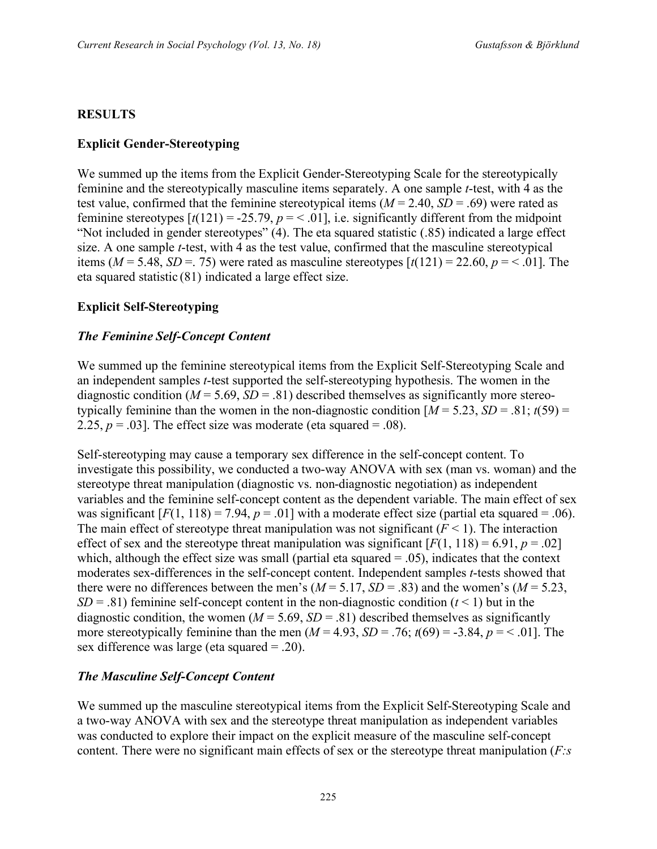### **RESULTS**

### **Explicit Gender-Stereotyping**

We summed up the items from the Explicit Gender-Stereotyping Scale for the stereotypically feminine and the stereotypically masculine items separately. A one sample *t*-test, with 4 as the test value, confirmed that the feminine stereotypical items  $(M = 2.40, SD = .69)$  were rated as feminine stereotypes  $[t(121) = -25.79, p = < .01]$ , i.e. significantly different from the midpoint "Not included in gender stereotypes" (4). The eta squared statistic (.85) indicated a large effect size. A one sample *t*-test, with 4 as the test value, confirmed that the masculine stereotypical items ( $M = 5.48$ ,  $SD = 75$ ) were rated as masculine stereotypes  $\lceil t(121) = 22.60, p = 0.01 \rceil$ . The eta squared statistic (81) indicated a large effect size.

#### **Explicit Self-Stereotyping**

#### *The Feminine Self-Concept Content*

We summed up the feminine stereotypical items from the Explicit Self-Stereotyping Scale and an independent samples *t*-test supported the self-stereotyping hypothesis. The women in the diagnostic condition  $(M = 5.69, SD = .81)$  described themselves as significantly more stereotypically feminine than the women in the non-diagnostic condition  $[M = 5.23, SD = .81; t(59) =$ 2.25,  $p = .03$ ]. The effect size was moderate (eta squared =  $.08$ ).

Self-stereotyping may cause a temporary sex difference in the self-concept content. To investigate this possibility, we conducted a two-way ANOVA with sex (man vs. woman) and the stereotype threat manipulation (diagnostic vs. non-diagnostic negotiation) as independent variables and the feminine self-concept content as the dependent variable. The main effect of sex was significant  $[F(1, 118) = 7.94$ ,  $p = .01]$  with a moderate effect size (partial eta squared = .06). The main effect of stereotype threat manipulation was not significant  $(F < 1)$ . The interaction effect of sex and the stereotype threat manipulation was significant  $[F(1, 118) = 6.91, p = .02]$ which, although the effect size was small (partial eta squared  $= .05$ ), indicates that the context moderates sex-differences in the self-concept content. Independent samples *t*-tests showed that there were no differences between the men's  $(M = 5.17, SD = .83)$  and the women's  $(M = 5.23,$ *SD* = .81) feminine self-concept content in the non-diagnostic condition  $(t < 1)$  but in the diagnostic condition, the women ( $M = 5.69$ ,  $SD = .81$ ) described themselves as significantly more stereotypically feminine than the men  $(M = 4.93, SD = .76; t(69) = -3.84, p = < .01$ . The sex difference was large (eta squared = .20).

#### *The Masculine Self-Concept Content*

We summed up the masculine stereotypical items from the Explicit Self-Stereotyping Scale and a two-way ANOVA with sex and the stereotype threat manipulation as independent variables was conducted to explore their impact on the explicit measure of the masculine self-concept content. There were no significant main effects of sex or the stereotype threat manipulation (*F:s*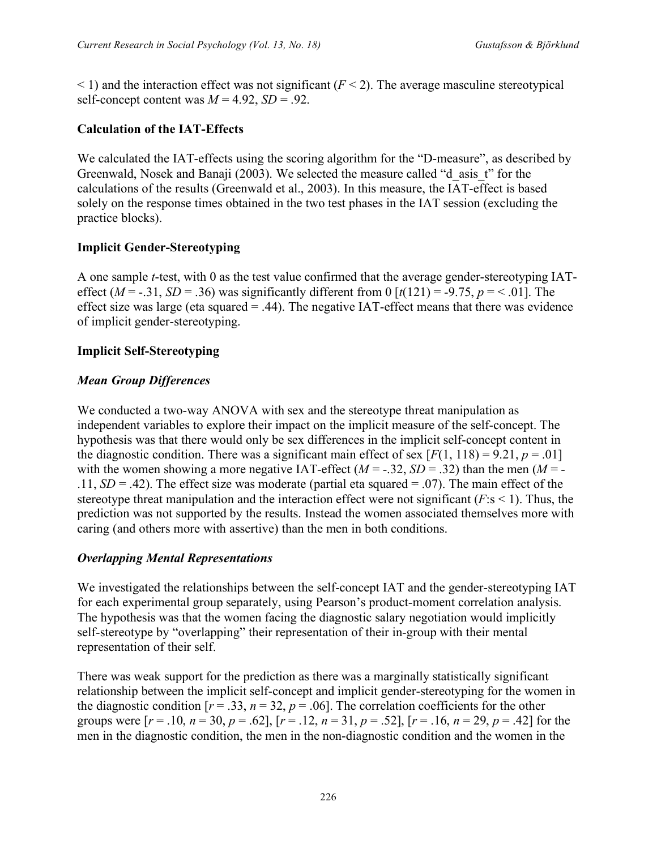$\leq$  1) and the interaction effect was not significant ( $F \leq$ 2). The average masculine stereotypical self-concept content was  $M = 4.92$ ,  $SD = .92$ .

# **Calculation of the IAT-Effects**

We calculated the IAT-effects using the scoring algorithm for the "D-measure", as described by Greenwald, Nosek and Banaji (2003). We selected the measure called "d\_asis\_t" for the calculations of the results (Greenwald et al., 2003). In this measure, the IAT-effect is based solely on the response times obtained in the two test phases in the IAT session (excluding the practice blocks).

# **Implicit Gender-Stereotyping**

A one sample *t*-test, with 0 as the test value confirmed that the average gender-stereotyping IATeffect ( $M = -0.31$ ,  $SD = 0.36$ ) was significantly different from 0 [ $t(121) = -0.75$ ,  $p = <0.01$ ]. The effect size was large (eta squared  $=$  .44). The negative IAT-effect means that there was evidence of implicit gender-stereotyping.

### **Implicit Self-Stereotyping**

# *Mean Group Differences*

We conducted a two-way ANOVA with sex and the stereotype threat manipulation as independent variables to explore their impact on the implicit measure of the self-concept. The hypothesis was that there would only be sex differences in the implicit self-concept content in the diagnostic condition. There was a significant main effect of sex  $[F(1, 118) = 9.21, p = .01]$ with the women showing a more negative IAT-effect  $(M = -0.32, SD = 0.32)$  than the men  $(M = -0.32, SD = 0.32)$ .11,  $SD = .42$ ). The effect size was moderate (partial eta squared  $= .07$ ). The main effect of the stereotype threat manipulation and the interaction effect were not significant  $(F: s \le 1)$ . Thus, the prediction was not supported by the results. Instead the women associated themselves more with caring (and others more with assertive) than the men in both conditions.

### *Overlapping Mental Representations*

We investigated the relationships between the self-concept IAT and the gender-stereotyping IAT for each experimental group separately, using Pearson's product-moment correlation analysis. The hypothesis was that the women facing the diagnostic salary negotiation would implicitly self-stereotype by "overlapping" their representation of their in-group with their mental representation of their self.

There was weak support for the prediction as there was a marginally statistically significant relationship between the implicit self-concept and implicit gender-stereotyping for the women in the diagnostic condition  $[r = .33, n = 32, p = .06]$ . The correlation coefficients for the other groups were  $[r = .10, n = 30, p = .62]$ ,  $[r = .12, n = 31, p = .52]$ ,  $[r = .16, n = 29, p = .42]$  for the men in the diagnostic condition, the men in the non-diagnostic condition and the women in the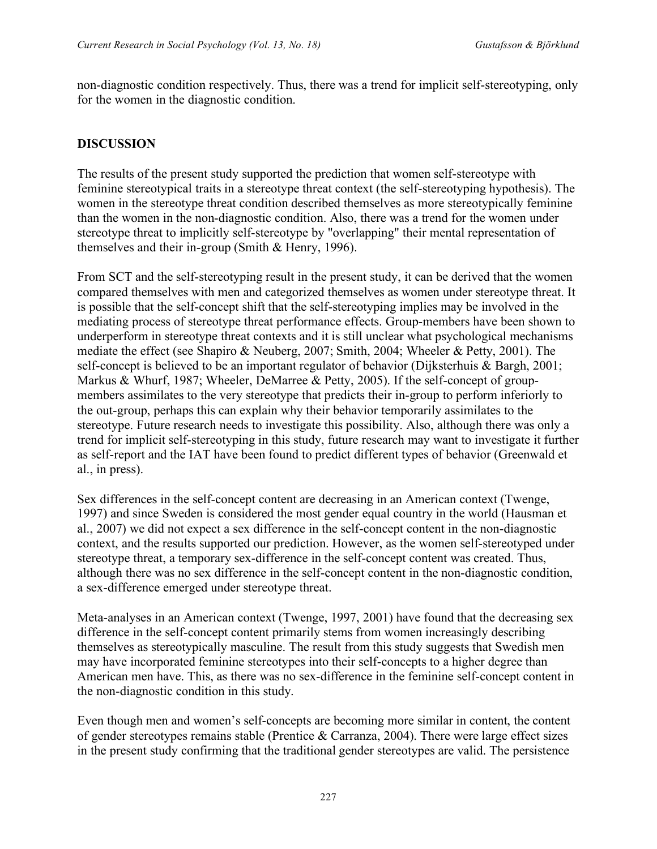non-diagnostic condition respectively. Thus, there was a trend for implicit self-stereotyping, only for the women in the diagnostic condition.

#### **DISCUSSION**

The results of the present study supported the prediction that women self-stereotype with feminine stereotypical traits in a stereotype threat context (the self-stereotyping hypothesis). The women in the stereotype threat condition described themselves as more stereotypically feminine than the women in the non-diagnostic condition. Also, there was a trend for the women under stereotype threat to implicitly self-stereotype by "overlapping" their mental representation of themselves and their in-group (Smith & Henry, 1996).

From SCT and the self-stereotyping result in the present study, it can be derived that the women compared themselves with men and categorized themselves as women under stereotype threat. It is possible that the self-concept shift that the self-stereotyping implies may be involved in the mediating process of stereotype threat performance effects. Group-members have been shown to underperform in stereotype threat contexts and it is still unclear what psychological mechanisms mediate the effect (see Shapiro & Neuberg, 2007; Smith, 2004; Wheeler & Petty, 2001). The self-concept is believed to be an important regulator of behavior (Dijksterhuis & Bargh, 2001; Markus & Whurf, 1987; Wheeler, DeMarree & Petty, 2005). If the self-concept of groupmembers assimilates to the very stereotype that predicts their in-group to perform inferiorly to the out-group, perhaps this can explain why their behavior temporarily assimilates to the stereotype. Future research needs to investigate this possibility. Also, although there was only a trend for implicit self-stereotyping in this study, future research may want to investigate it further as self-report and the IAT have been found to predict different types of behavior (Greenwald et al., in press).

Sex differences in the self-concept content are decreasing in an American context (Twenge, 1997) and since Sweden is considered the most gender equal country in the world (Hausman et al., 2007) we did not expect a sex difference in the self-concept content in the non-diagnostic context, and the results supported our prediction. However, as the women self-stereotyped under stereotype threat, a temporary sex-difference in the self-concept content was created. Thus, although there was no sex difference in the self-concept content in the non-diagnostic condition, a sex-difference emerged under stereotype threat.

Meta-analyses in an American context (Twenge, 1997, 2001) have found that the decreasing sex difference in the self-concept content primarily stems from women increasingly describing themselves as stereotypically masculine. The result from this study suggests that Swedish men may have incorporated feminine stereotypes into their self-concepts to a higher degree than American men have. This, as there was no sex-difference in the feminine self-concept content in the non-diagnostic condition in this study.

Even though men and women's self-concepts are becoming more similar in content, the content of gender stereotypes remains stable (Prentice & Carranza, 2004). There were large effect sizes in the present study confirming that the traditional gender stereotypes are valid. The persistence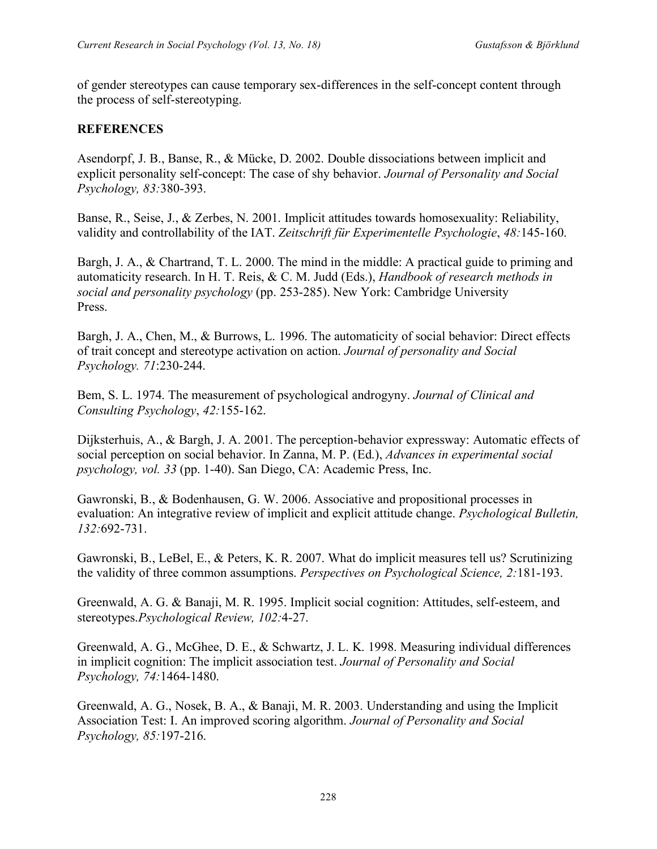of gender stereotypes can cause temporary sex-differences in the self-concept content through the process of self-stereotyping.

# **REFERENCES**

Asendorpf, J. B., Banse, R., & Mücke, D. 2002. Double dissociations between implicit and explicit personality self-concept: The case of shy behavior. *Journal of Personality and Social Psychology, 83:*380-393.

Banse, R., Seise, J., & Zerbes, N. 2001. Implicit attitudes towards homosexuality: Reliability, validity and controllability of the IAT. *Zeitschrift für Experimentelle Psychologie*, *48:*145-160.

Bargh, J. A., & Chartrand, T. L. 2000. The mind in the middle: A practical guide to priming and automaticity research. In H. T. Reis, & C. M. Judd (Eds.), *Handbook of research methods in social and personality psychology* (pp. 253-285). New York: Cambridge University Press.

Bargh, J. A., Chen, M., & Burrows, L. 1996. The automaticity of social behavior: Direct effects of trait concept and stereotype activation on action. *Journal of personality and Social Psychology. 71*:230-244.

Bem, S. L. 1974. The measurement of psychological androgyny. *Journal of Clinical and Consulting Psychology*, *42:*155-162.

Dijksterhuis, A., & Bargh, J. A. 2001. The perception-behavior expressway: Automatic effects of social perception on social behavior. In Zanna, M. P. (Ed.), *Advances in experimental social psychology, vol. 33* (pp. 1-40). San Diego, CA: Academic Press, Inc.

Gawronski, B., & Bodenhausen, G. W. 2006. Associative and propositional processes in evaluation: An integrative review of implicit and explicit attitude change. *Psychological Bulletin, 132:*692-731.

Gawronski, B., LeBel, E., & Peters, K. R. 2007. What do implicit measures tell us? Scrutinizing the validity of three common assumptions. *Perspectives on Psychological Science, 2:*181-193.

Greenwald, A. G. & Banaji, M. R. 1995. Implicit social cognition: Attitudes, self-esteem, and stereotypes.*Psychological Review, 102:*4-27.

Greenwald, A. G., McGhee, D. E., & Schwartz, J. L. K. 1998. Measuring individual differences in implicit cognition: The implicit association test. *Journal of Personality and Social Psychology, 74:*1464-1480.

Greenwald, A. G., Nosek, B. A., & Banaji, M. R. 2003. Understanding and using the Implicit Association Test: I. An improved scoring algorithm. *Journal of Personality and Social Psychology, 85:*197-216.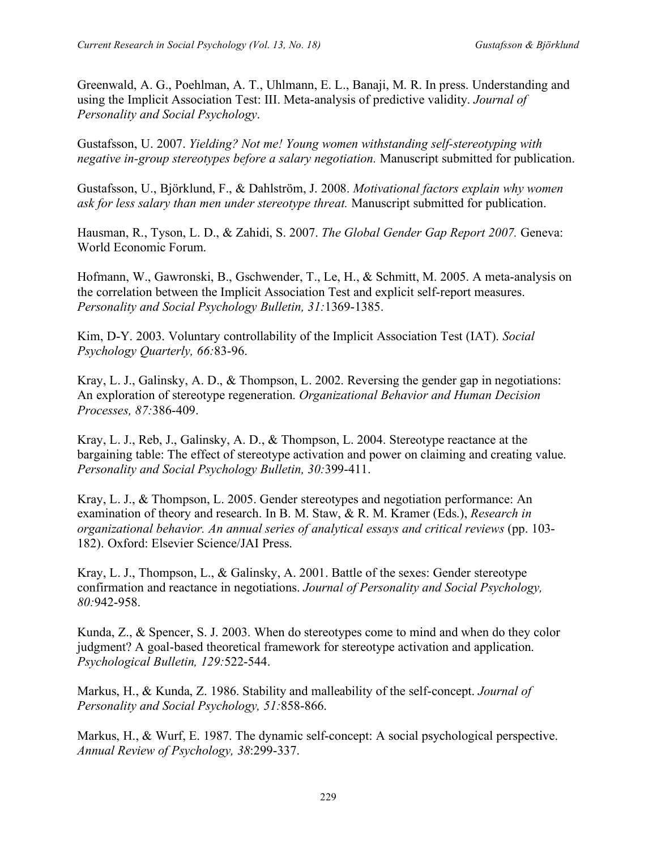Greenwald, A. G., Poehlman, A. T., Uhlmann, E. L., Banaji, M. R. In press. Understanding and using the Implicit Association Test: III. Meta-analysis of predictive validity. *Journal of Personality and Social Psychology*.

Gustafsson, U. 2007. *Yielding? Not me! Young women withstanding self-stereotyping with negative in-group stereotypes before a salary negotiation.* Manuscript submitted for publication.

Gustafsson, U., Björklund, F., & Dahlström, J. 2008. *Motivational factors explain why women ask for less salary than men under stereotype threat.* Manuscript submitted for publication.

Hausman, R., Tyson, L. D., & Zahidi, S. 2007. *The Global Gender Gap Report 2007.* Geneva: World Economic Forum.

Hofmann, W., Gawronski, B., Gschwender, T., Le, H., & Schmitt, M. 2005. A meta-analysis on the correlation between the Implicit Association Test and explicit self-report measures. *Personality and Social Psychology Bulletin, 31:*1369-1385.

Kim, D-Y. 2003. Voluntary controllability of the Implicit Association Test (IAT). *Social Psychology Quarterly, 66:*83-96.

Kray, L. J., Galinsky, A. D., & Thompson, L. 2002. Reversing the gender gap in negotiations: An exploration of stereotype regeneration. *Organizational Behavior and Human Decision Processes, 87:*386-409.

Kray, L. J., Reb, J., Galinsky, A. D., & Thompson, L. 2004. Stereotype reactance at the bargaining table: The effect of stereotype activation and power on claiming and creating value. *Personality and Social Psychology Bulletin, 30:*399-411.

Kray, L. J., & Thompson, L. 2005. Gender stereotypes and negotiation performance: An examination of theory and research. In B. M. Staw, & R. M. Kramer (Eds.), *Research in organizational behavior. An annual series of analytical essays and critical reviews* (pp. 103- 182). Oxford: Elsevier Science/JAI Press.

Kray, L. J., Thompson, L., & Galinsky, A. 2001. Battle of the sexes: Gender stereotype confirmation and reactance in negotiations. *Journal of Personality and Social Psychology, 80:*942-958.

Kunda, Z., & Spencer, S. J. 2003. When do stereotypes come to mind and when do they color judgment? A goal-based theoretical framework for stereotype activation and application. *Psychological Bulletin, 129:*522-544.

Markus, H., & Kunda, Z. 1986. Stability and malleability of the self-concept. *Journal of Personality and Social Psychology, 51:*858-866.

Markus, H., & Wurf, E. 1987. The dynamic self-concept: A social psychological perspective. *Annual Review of Psychology, 38*:299-337.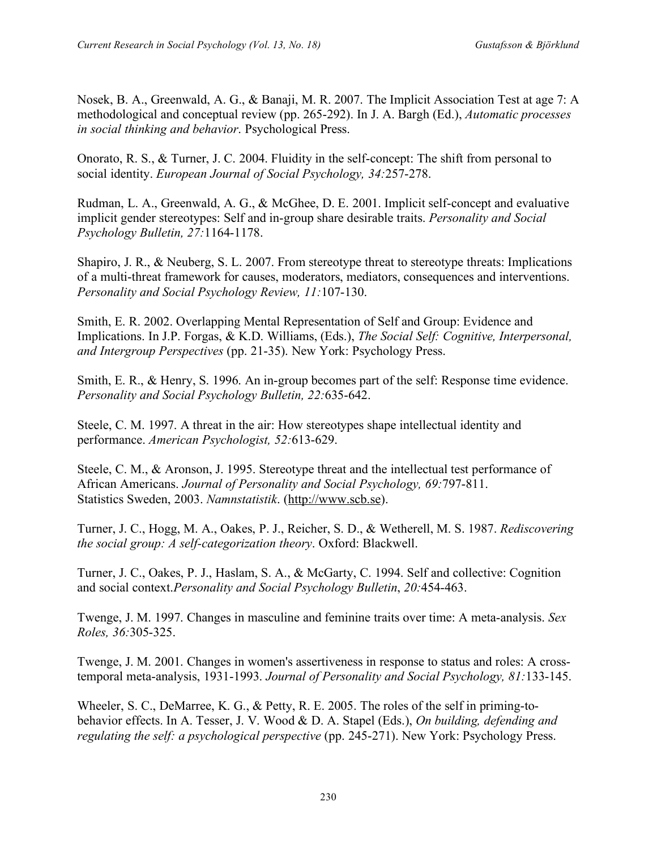Nosek, B. A., Greenwald, A. G., & Banaji, M. R. 2007. The Implicit Association Test at age 7: A methodological and conceptual review (pp. 265-292). In J. A. Bargh (Ed.), *Automatic processes in social thinking and behavior*. Psychological Press.

Onorato, R. S., & Turner, J. C. 2004. Fluidity in the self-concept: The shift from personal to social identity. *European Journal of Social Psychology, 34:*257-278.

Rudman, L. A., Greenwald, A. G., & McGhee, D. E. 2001. Implicit self-concept and evaluative implicit gender stereotypes: Self and in-group share desirable traits. *Personality and Social Psychology Bulletin, 27:*1164-1178.

Shapiro, J. R., & Neuberg, S. L. 2007. From stereotype threat to stereotype threats: Implications of a multi-threat framework for causes, moderators, mediators, consequences and interventions. *Personality and Social Psychology Review, 11:*107-130.

Smith, E. R. 2002. Overlapping Mental Representation of Self and Group: Evidence and Implications. In J.P. Forgas, & K.D. Williams, (Eds.), *The Social Self: Cognitive, Interpersonal, and Intergroup Perspectives* (pp. 21-35). New York: Psychology Press.

Smith, E. R., & Henry, S. 1996. An in-group becomes part of the self: Response time evidence. *Personality and Social Psychology Bulletin, 22:*635-642.

Steele, C. M. 1997. A threat in the air: How stereotypes shape intellectual identity and performance. *American Psychologist, 52:*613-629.

Steele, C. M., & Aronson, J. 1995. Stereotype threat and the intellectual test performance of African Americans. *Journal of Personality and Social Psychology, 69:*797-811. Statistics Sweden, 2003. *Namnstatistik*. (http://www.scb.se).

Turner, J. C., Hogg, M. A., Oakes, P. J., Reicher, S. D., & Wetherell, M. S. 1987. *Rediscovering the social group: A self-categorization theory*. Oxford: Blackwell.

Turner, J. C., Oakes, P. J., Haslam, S. A., & McGarty, C. 1994. Self and collective: Cognition and social context.*Personality and Social Psychology Bulletin*, *20:*454-463.

Twenge, J. M. 1997. Changes in masculine and feminine traits over time: A meta-analysis. *Sex Roles, 36:*305-325.

Twenge, J. M. 2001. Changes in women's assertiveness in response to status and roles: A crosstemporal meta-analysis, 1931-1993. *Journal of Personality and Social Psychology, 81:*133-145.

Wheeler, S. C., DeMarree, K. G., & Petty, R. E. 2005. The roles of the self in priming-tobehavior effects. In A. Tesser, J. V. Wood & D. A. Stapel (Eds.), *On building, defending and regulating the self: a psychological perspective* (pp. 245-271). New York: Psychology Press.